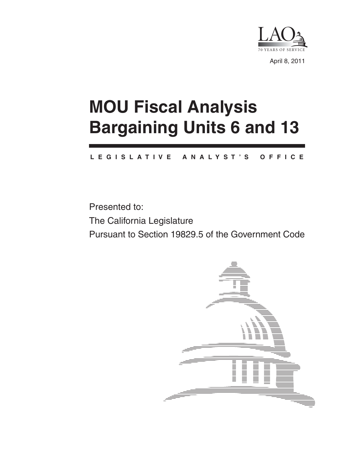

April 8, 2011

# **MOU Fiscal Analysis Bargaining Units 6 and 13**

#### **L E G I S L A T I V E A N A L Y S T ' S O F F I C E**

Presented to: The California Legislature Pursuant to Section 19829.5 of the Government Code

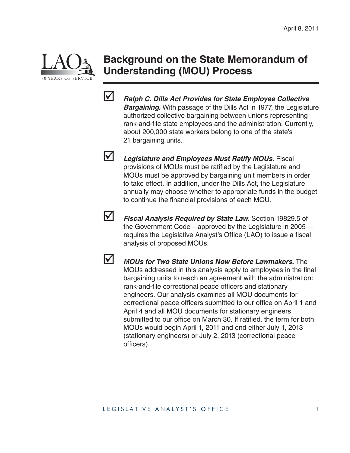

# **Background on the State Memorandum of Understanding (MOU) Process**



 *Ralph C. Dills Act Provides for State Employee Collective Bargaining.* With passage of the Dills Act in 1977, the Legislature authorized collective bargaining between unions representing rank-and-file state employees and the administration. Currently, about 200,000 state workers belong to one of the state's 21 bargaining units.

 *Legislature and Employees Must Ratify MOUs.* Fiscal provisions of MOUs must be ratified by the Legislature and MOUs must be approved by bargaining unit members in order to take effect. In addition, under the Dills Act, the Legislature annually may choose whether to appropriate funds in the budget to continue the financial provisions of each MOU.



 *Fiscal Analysis Required by State Law.* Section 19829.5 of the Government Code—approved by the Legislature in 2005 requires the Legislative Analyst's Office (LAO) to issue a fiscal analysis of proposed MOUs.

 *MOUs for Two State Unions Now Before Lawmakers.* The MOUs addressed in this analysis apply to employees in the final bargaining units to reach an agreement with the administration: rank-and-file correctional peace officers and stationary engineers. Our analysis examines all MOU documents for correctional peace officers submitted to our office on April 1 and April 4 and all MOU documents for stationary engineers submitted to our office on March 30. If ratified, the term for both MOUs would begin April 1, 2011 and end either July 1, 2013 (stationary engineers) or July 2, 2013 (correctional peace officers).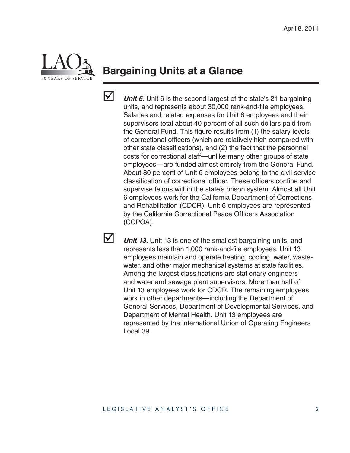

# **Bargaining Units at a Glance**



**V** *Unit 6.* Unit 6 is the second largest of the state's 21 bargaining units, and represents about 30,000 rank-and-file employees. Salaries and related expenses for Unit 6 employees and their supervisors total about 40 percent of all such dollars paid from the General Fund. This figure results from (1) the salary levels of correctional officers (which are relatively high compared with other state classifications), and  $(2)$  the fact that the personnel costs for correctional staff—unlike many other groups of state employees—are funded almost entirely from the General Fund. About 80 percent of Unit 6 employees belong to the civil service classification of correctional officer. These officers confine and supervise felons within the state's prison system. Almost all Unit 6 employees work for the California Department of Corrections and Rehabilitation (CDCR). Unit 6 employees are represented by the California Correctional Peace Officers Association (CCPOA).

**V** *Unit 13.* Unit 13 is one of the smallest bargaining units, and represents less than 1,000 rank-and-file employees. Unit 13 employees maintain and operate heating, cooling, water, wastewater, and other major mechanical systems at state facilities. Among the largest classifications are stationary engineers and water and sewage plant supervisors. More than half of Unit 13 employees work for CDCR. The remaining employees work in other departments—including the Department of General Services, Department of Developmental Services, and Department of Mental Health. Unit 13 employees are represented by the International Union of Operating Engineers Local 39.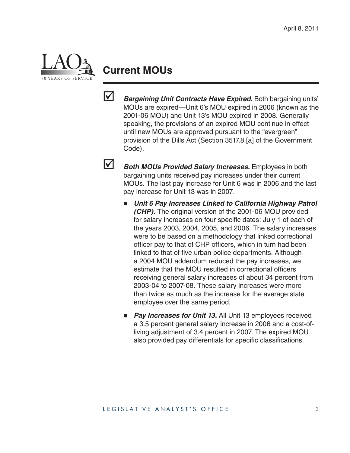

# **Current MOUs**



**Bargaining Unit Contracts Have Expired.** Both bargaining units' MOUs are expired—Unit 6's MOU expired in 2006 (known as the 2001-06 MOU) and Unit 13's MOU expired in 2008. Generally speaking, the provisions of an expired MOU continue in effect until new MOUs are approved pursuant to the "evergreen" provision of the Dills Act (Section 3517.8 [a] of the Government Code).

**1** *Both MOUs Provided Salary Increases.* Employees in both bargaining units received pay increases under their current MOUs. The last pay increase for Unit 6 was in 2006 and the last pay increase for Unit 13 was in 2007.

- *Unit 6 Pay Increases Linked to California Highway Patrol (CHP).* The original version of the 2001-06 MOU provided for salary increases on four specific dates: July 1 of each of the years 2003, 2004, 2005, and 2006. The salary increases were to be based on a methodology that linked correctional officer pay to that of CHP officers, which in turn had been linked to that of five urban police departments. Although a 2004 MOU addendum reduced the pay increases, we estimate that the MOU resulted in correctional officers receiving general salary increases of about 34 percent from 2003-04 to 2007-08. These salary increases were more than twice as much as the increase for the average state employee over the same period.
- **Pay Increases for Unit 13.** All Unit 13 employees received a 3.5 percent general salary increase in 2006 and a cost-ofliving adjustment of 3.4 percent in 2007. The expired MOU also provided pay differentials for specific classifications.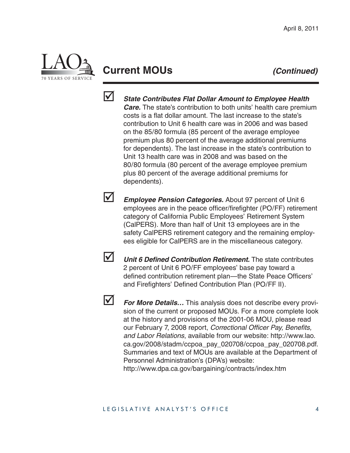

# **Current MOUs** *(Continued)*



 *State Contributes Flat Dollar Amount to Employee Health Care.* The state's contribution to both units' health care premium costs is a flat dollar amount. The last increase to the state's contribution to Unit 6 health care was in 2006 and was based on the 85/80 formula (85 percent of the average employee premium plus 80 percent of the average additional premiums for dependents). The last increase in the state's contribution to Unit 13 health care was in 2008 and was based on the 80/80 formula (80 percent of the average employee premium plus 80 percent of the average additional premiums for dependents).

**Employee Pension Categories.** About 97 percent of Unit 6 employees are in the peace officer/firefighter (PO/FF) retirement category of California Public Employees' Retirement System (CalPERS). More than half of Unit 13 employees are in the safety CalPERS retirement category and the remaining employees eligible for CalPERS are in the miscellaneous category.



**V** *Unit 6 Defined Contribution Retirement*. The state contributes 2 percent of Unit 6 PO/FF employees' base pay toward a defined contribution retirement plan—the State Peace Officers' and Firefighters' Defined Contribution Plan (PO/FF II).



*For More Details...* This analysis does not describe every provision of the current or proposed MOUs. For a more complete look at the history and provisions of the 2001-06 MOU, please read our February 7, 2008 report, *Correctional Officer Pay*, Benefits, *and Labor Relations*, available from our website: http://www.lao. ca.gov/2008/stadm/ccpoa\_pay\_020708/ccpoa\_pay\_020708.pdf. Summaries and text of MOUs are available at the Department of Personnel Administration's (DPA's) website: http://www.dpa.ca.gov/bargaining/contracts/index.htm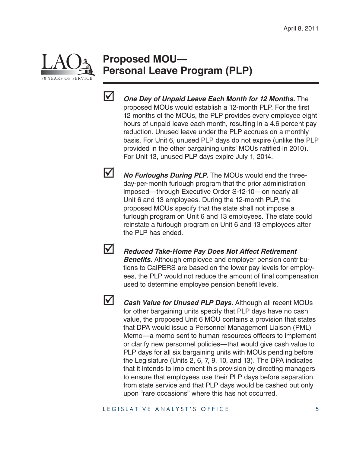

### **Proposed MOU— Personal Leave Program (PLP)**



 *One Day of Unpaid Leave Each Month for 12 Months.* The proposed MOUs would establish a 12-month PLP. For the first 12 months of the MOUs, the PLP provides every employee eight hours of unpaid leave each month, resulting in a 4.6 percent pay reduction. Unused leave under the PLP accrues on a monthly basis. For Unit 6, unused PLP days do not expire (unlike the PLP provided in the other bargaining units' MOUs ratified in 2010). For Unit 13, unused PLP days expire July 1, 2014.

*No Furloughs During PLP.* The MOUs would end the threeday-per-month furlough program that the prior administration imposed—through Executive Order S-12-10—on nearly all Unit 6 and 13 employees. During the 12-month PLP, the proposed MOUs specify that the state shall not impose a furlough program on Unit 6 and 13 employees. The state could reinstate a furlough program on Unit 6 and 13 employees after the PLP has ended.

 *Reduced Take-Home Pay Does Not Affect Retirement*  **Benefits.** Although employee and employer pension contributions to CalPERS are based on the lower pay levels for employees, the PLP would not reduce the amount of final compensation used to determine employee pension benefit levels.

 *Cash Value for Unused PLP Days.* Although all recent MOUs for other bargaining units specify that PLP days have no cash value, the proposed Unit 6 MOU contains a provision that states that DPA would issue a Personnel Management Liaison (PML) Memo—a memo sent to human resources officers to implement or clarify new personnel policies—that would give cash value to PLP days for all six bargaining units with MOUs pending before the Legislature (Units 2, 6, 7, 9, 10, and 13). The DPA indicates that it intends to implement this provision by directing managers to ensure that employees use their PLP days before separation from state service and that PLP days would be cashed out only upon "rare occasions" where this has not occurred.

#### LEGISLATIVE ANALYST'S OFFICE 5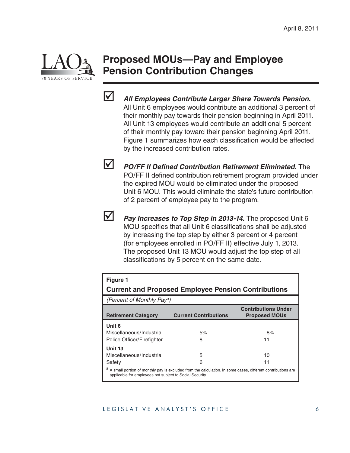

# **Proposed MOUs—Pay and Employee Pension Contribution Changes**



 *All Employees Contribute Larger Share Towards Pension.* All Unit 6 employees would contribute an additional 3 percent of their monthly pay towards their pension beginning in April 2011. All Unit 13 employees would contribute an additional 5 percent of their monthly pay toward their pension beginning April 2011. Figure 1 summarizes how each classification would be affected by the increased contribution rates.



*PO/FF II Defined Contribution Retirement Eliminated.* **The** PO/FF II defined contribution retirement program provided under the expired MOU would be eliminated under the proposed Unit 6 MOU. This would eliminate the state's future contribution of 2 percent of employee pay to the program.



*Pay Increases to Top Step in 2013-14.* The proposed Unit 6 MOU specifies that all Unit 6 classifications shall be adjusted by increasing the top step by either 3 percent or 4 percent (for employees enrolled in PO/FF II) effective July 1, 2013. The proposed Unit 13 MOU would adjust the top step of all classifications by 5 percent on the same date.

| <b>Figure 1</b><br><b>Current and Proposed Employee Pension Contributions</b>                                                                                           |                              |                                                    |  |  |  |  |
|-------------------------------------------------------------------------------------------------------------------------------------------------------------------------|------------------------------|----------------------------------------------------|--|--|--|--|
| (Percent of Monthly Pay <sup>a</sup> )                                                                                                                                  |                              |                                                    |  |  |  |  |
| <b>Retirement Category</b>                                                                                                                                              | <b>Current Contributions</b> | <b>Contributions Under</b><br><b>Proposed MOUs</b> |  |  |  |  |
| Unit 6                                                                                                                                                                  |                              |                                                    |  |  |  |  |
| Miscellaneous/Industrial                                                                                                                                                | 5%                           | 8%                                                 |  |  |  |  |
| Police Officer/Firefighter                                                                                                                                              | 8                            | 11                                                 |  |  |  |  |
| Unit 13                                                                                                                                                                 |                              |                                                    |  |  |  |  |
| Miscellaneous/Industrial                                                                                                                                                | 5                            | 10                                                 |  |  |  |  |
| Safety                                                                                                                                                                  | 6                            | 11                                                 |  |  |  |  |
| A small portion of monthly pay is excluded from the calculation. In some cases, different contributions are<br>applicable for employees not subject to Social Security. |                              |                                                    |  |  |  |  |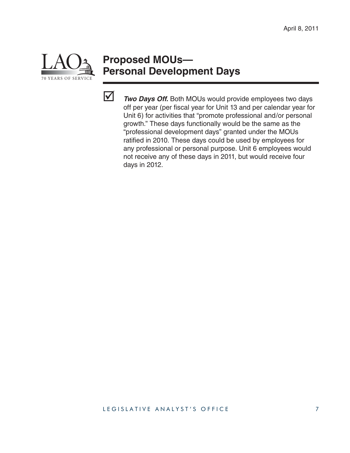

# **Proposed MOUs— Personal Development Days**



*Two Days Off.* Both MOUs would provide employees two days off per year (per fiscal year for Unit 13 and per calendar year for Unit 6) for activities that "promote professional and/or personal growth." These days functionally would be the same as the "professional development days" granted under the MOUs ratified in 2010. These days could be used by employees for any professional or personal purpose. Unit 6 employees would not receive any of these days in 2011, but would receive four days in 2012.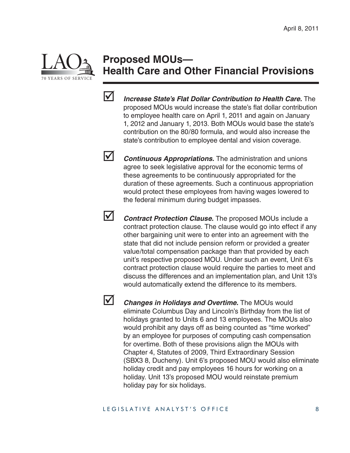

# **Proposed MOUs— Health Care and Other Financial Provisions**



 *Increase State's Flat Dollar Contribution to Health Care.* The proposed MOUs would increase the state's flat dollar contribution to employee health care on April 1, 2011 and again on January 1, 2012 and January 1, 2013. Both MOUs would base the state's contribution on the 80/80 formula, and would also increase the state's contribution to employee dental and vision coverage.

**V** *Continuous Appropriations.* The administration and unions agree to seek legislative approval for the economic terms of these agreements to be continuously appropriated for the duration of these agreements. Such a continuous appropriation would protect these employees from having wages lowered to the federal minimum during budget impasses.



**Z** *Contract Protection Clause.* The proposed MOUs include a contract protection clause. The clause would go into effect if any other bargaining unit were to enter into an agreement with the state that did not include pension reform or provided a greater value/total compensation package than that provided by each unit's respective proposed MOU. Under such an event, Unit 6's contract protection clause would require the parties to meet and discuss the differences and an implementation plan, and Unit 13's would automatically extend the difference to its members.



*Changes in Holidays and Overtime.* The MOUs would eliminate Columbus Day and Lincoln's Birthday from the list of holidays granted to Units 6 and 13 employees. The MOUs also would prohibit any days off as being counted as "time worked" by an employee for purposes of computing cash compensation for overtime. Both of these provisions align the MOUs with Chapter 4, Statutes of 2009, Third Extraordinary Session (SBX3 8, Ducheny). Unit 6's proposed MOU would also eliminate holiday credit and pay employees 16 hours for working on a holiday. Unit 13's proposed MOU would reinstate premium holiday pay for six holidays.

#### LEGISLATIVE ANALYST'S OFFICE 8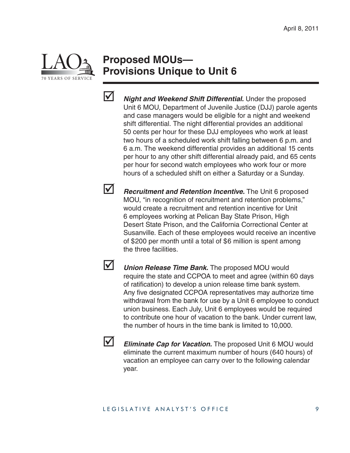

# **Proposed MOUs— Provisions Unique to Unit 6**



 *Night and Weekend Shift Differential.* Under the proposed Unit 6 MOU, Department of Juvenile Justice (DJJ) parole agents and case managers would be eligible for a night and weekend shift differential. The night differential provides an additional 50 cents per hour for these DJJ employees who work at least two hours of a scheduled work shift falling between 6 p.m. and 6 a.m. The weekend differential provides an additional 15 cents per hour to any other shift differential already paid, and 65 cents per hour for second watch employees who work four or more hours of a scheduled shift on either a Saturday or a Sunday.

**12** *Recruitment and Retention Incentive.* The Unit 6 proposed MOU, "in recognition of recruitment and retention problems," would create a recruitment and retention incentive for Unit 6 employees working at Pelican Bay State Prison, High Desert State Prison, and the California Correctional Center at Susanville. Each of these employees would receive an incentive of \$200 per month until a total of \$6 million is spent among the three facilities.

**V** Union Release Time Bank. The proposed MOU would require the state and CCPOA to meet and agree (within 60 days of ratification) to develop a union release time bank system. Any five designated CCPOA representatives may authorize time withdrawal from the bank for use by a Unit 6 employee to conduct union business. Each July, Unit 6 employees would be required to contribute one hour of vacation to the bank. Under current law, the number of hours in the time bank is limited to 10,000.

**Eliminate Cap for Vacation.** The proposed Unit 6 MOU would eliminate the current maximum number of hours (640 hours) of vacation an employee can carry over to the following calendar year.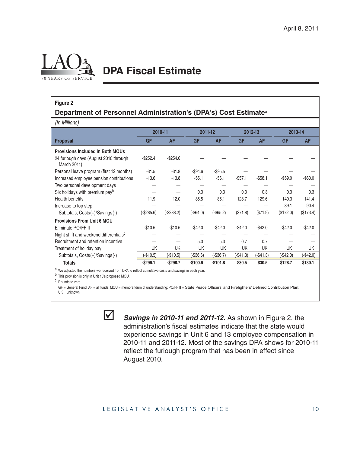

# **DPA Fiscal Estimate**

#### **Figure 2**

#### **Department of Personnel Administration's (DPA's) Cost Estimate<sup>a</sup>**

*(In Millions)*

|                                                      | 2010-11     |             | 2011-12     |             | 2012-13   |            | 2013-14    |           |
|------------------------------------------------------|-------------|-------------|-------------|-------------|-----------|------------|------------|-----------|
| <b>Proposal</b>                                      | <b>GF</b>   | <b>AF</b>   | <b>GF</b>   | <b>AF</b>   | <b>GF</b> | <b>AF</b>  | <b>GF</b>  | <b>AF</b> |
| <b>Provisions Included in Both MOUs</b>              |             |             |             |             |           |            |            |           |
| 24 furlough days (August 2010 through<br>March 2011) | $-$252.4$   | $-$254.6$   |             |             |           |            |            |           |
| Personal leave program (first 12 months)             | $-31.5$     | $-31.8$     | $-$94.6$    | $-$ \$95.5  |           |            |            |           |
| Increased employee pension contributions             | $-13.6$     | $-13.8$     | $-55.1$     | $-56.1$     | $-$57.1$  | $-$58.1$   | $-$ \$59.0 | $-$60.0$  |
| Two personal development days                        |             |             |             |             |           |            |            |           |
| Six holidays with premium payb                       |             |             | 0.3         | 0.3         | 0.3       | 0.3        | 0.3        | 0.3       |
| Health benefits                                      | 11.9        | 12.0        | 85.5        | 86.1        | 128.7     | 129.6      | 140.3      | 141.4     |
| Increase to top step                                 |             |             |             |             |           |            | 89.1       | 90.4      |
| Subtotals, Costs(+)/Savings(-)                       | $(-$285.6)$ | $(-$288.2)$ | $(-$64.0)$  | $(-$65.2)$  | (\$71.8)  | (\$71.9)   | (\$172.0)  | (\$173.4) |
| <b>Provisions From Unit 6 MOU</b>                    |             |             |             |             |           |            |            |           |
| Eliminate PO/FF II                                   | $-$10.5$    | $-$10.5$    | $-$42.0$    | $-$42.0$    | $-$42.0$  | $-$42.0$   | $-$42.0$   | $-$42.0$  |
| Night shift and weekend differentials <sup>c</sup>   |             |             |             |             |           |            |            |           |
| Recruitment and retention incentive                  |             |             | 5.3         | 5.3         | 0.7       | 0.7        |            |           |
| Treatment of holiday pay                             | UK          | UK          | <b>UK</b>   | UK          | UK        | UK         | <b>UK</b>  | UK        |
| Subtotals, Costs(+)/Savings(-)                       | (.\$10.5)   | (-\$10.5)   | $(-\$36.6)$ | $(-\$36.7)$ | (-\$41.3) | $(-$41.3)$ | (-\$42.0)  | (-\$42.0) |
| Totals                                               | $-$ \$296.1 | $-$ \$298.7 | $-$100.6$   | $-$101.8$   | \$30.5    | \$30.5     | \$128.7    | \$130.1   |

a We adjusted the numbers we received from DPA to reflect cumulative costs and savings in each year.

b This provision is only in Unit 13's proposed MOU.

c Rounds to zero.

GF = General Fund; AF = all funds; MOU = memorandum of understanding; PO/FF II = State Peace Officers' and Firefighters' Defined Contribution Plan; UK = unknown.



**Savings in 2010-11 and 2011-12.** As shown in Figure 2, the administration's fiscal estimates indicate that the state would experience savings in Unit 6 and 13 employee compensation in 2010-11 and 2011-12. Most of the savings DPA shows for 2010-11 reflect the furlough program that has been in effect since August 2010.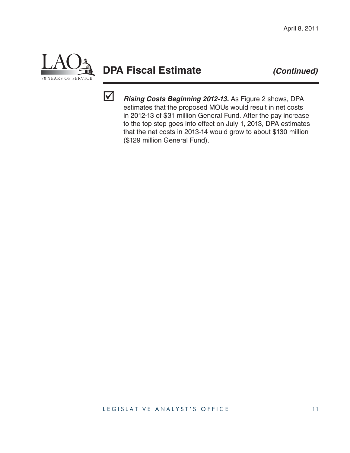

# **DPA Fiscal Estimate** *(Continued)*



 *Rising Costs Beginning 2012-13.* As Figure 2 shows, DPA estimates that the proposed MOUs would result in net costs in 2012-13 of \$31 million General Fund. After the pay increase to the top step goes into effect on July 1, 2013, DPA estimates that the net costs in 2013-14 would grow to about \$130 million (\$129 million General Fund).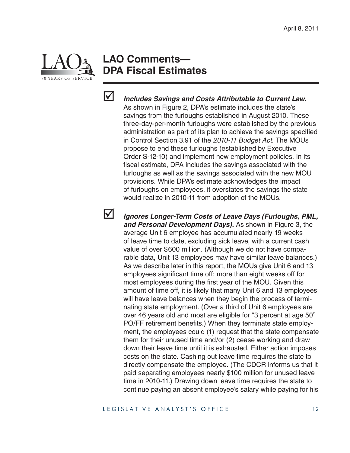

### **LAO Comments— DPA Fiscal Estimates**



 *Includes Savings and Costs Attributable to Current Law.*  As shown in Figure 2, DPA's estimate includes the state's savings from the furloughs established in August 2010. These three-day-per-month furloughs were established by the previous administration as part of its plan to achieve the savings specified in Control Section 3.91 of the *2010-11 Budget Act*. The MOUs propose to end these furloughs (established by Executive Order S-12-10) and implement new employment policies. In its fiscal estimate, DPA includes the savings associated with the furloughs as well as the savings associated with the new MOU provisions. While DPA's estimate acknowledges the impact of furloughs on employees, it overstates the savings the state would realize in 2010-11 from adoption of the MOUs.



 *Ignores Longer-Term Costs of Leave Days (Furloughs, PML, and Personal Development Days).* As shown in Figure 3, the average Unit 6 employee has accumulated nearly 19 weeks of leave time to date, excluding sick leave, with a current cash value of over \$600 million. (Although we do not have comparable data, Unit 13 employees may have similar leave balances.) As we describe later in this report, the MOUs give Unit 6 and 13 employees significant time off: more than eight weeks off for most employees during the first year of the MOU. Given this amount of time off, it is likely that many Unit 6 and 13 employees will have leave balances when they begin the process of terminating state employment. (Over a third of Unit 6 employees are over 46 years old and most are eligible for "3 percent at age 50" PO/FF retirement benefits.) When they terminate state employment, the employees could (1) request that the state compensate them for their unused time and/or (2) cease working and draw down their leave time until it is exhausted. Either action imposes costs on the state. Cashing out leave time requires the state to directly compensate the employee. (The CDCR informs us that it paid separating employees nearly \$100 million for unused leave time in 2010-11.) Drawing down leave time requires the state to continue paying an absent employee's salary while paying for his

LEGISLATIVE ANALYST'S OFFICE 12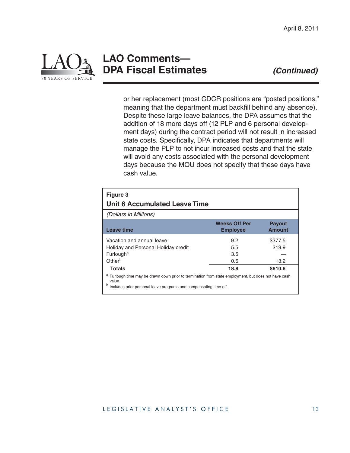

### **LAO Comments— DPA Fiscal Estimates** *(Continued)*

or her replacement (most CDCR positions are "posted positions," meaning that the department must backfill behind any absence). Despite these large leave balances, the DPA assumes that the addition of 18 more days off (12 PLP and 6 personal development days) during the contract period will not result in increased state costs. Specifically, DPA indicates that departments will manage the PLP to not incur increased costs and that the state will avoid any costs associated with the personal development days because the MOU does not specify that these days have cash value.

| Figure 3<br><b>Unit 6 Accumulated Leave Time</b>                                                                                                                                    |                                         |                                |
|-------------------------------------------------------------------------------------------------------------------------------------------------------------------------------------|-----------------------------------------|--------------------------------|
| <i>(Dollars in Millions)</i>                                                                                                                                                        |                                         |                                |
| <b>Leave time</b>                                                                                                                                                                   | <b>Weeks Off Per</b><br><b>Employee</b> | <b>Payout</b><br><b>Amount</b> |
| Vacation and annual leave                                                                                                                                                           | 9.2                                     | \$377.5                        |
| Holiday and Personal Holiday credit                                                                                                                                                 | 5.5                                     | 219.9                          |
| Furlough <sup>a</sup>                                                                                                                                                               | 3.5                                     |                                |
| Other <sup>b</sup>                                                                                                                                                                  | 0.6                                     | 13.2                           |
| <b>Totals</b>                                                                                                                                                                       | 18.8                                    | \$610.6                        |
| a Furlough time may be drawn down prior to termination from state employment, but does not have cash<br>value.<br>Includes prior personal leave programs and compensating time off. |                                         |                                |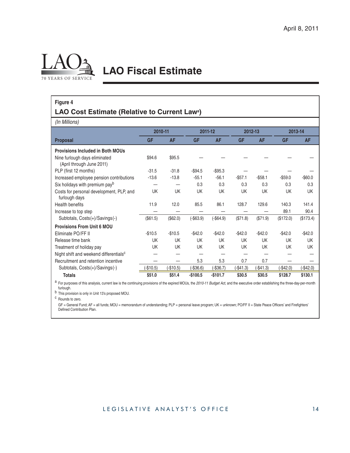

# **LAO Fiscal Estimate**

#### **Figure 4**

#### **LAO Cost Estimate (Relative to Current Lawa)**

*(In Millions)*

|                                                            |            | 2010-11<br>2011-12 |             | 2012-13     |           | 2013-14    |           |            |
|------------------------------------------------------------|------------|--------------------|-------------|-------------|-----------|------------|-----------|------------|
| <b>Proposal</b>                                            | <b>GF</b>  | <b>AF</b>          | <b>GF</b>   | <b>AF</b>   | <b>GF</b> | <b>AF</b>  | <b>GF</b> | <b>AF</b>  |
| <b>Provisions Included in Both MOUs</b>                    |            |                    |             |             |           |            |           |            |
| Nine furlough days eliminated<br>(April through June 2011) | \$94.6     | \$95.5             |             |             |           |            |           |            |
| PLP (first 12 months)                                      | $-31.5$    | $-31.8$            | $-$94.5$    | $-$ \$95.3  |           |            |           |            |
| Increased employee pension contributions                   | $-13.6$    | $-13.8$            | $-55.1$     | $-56.1$     | $-$57.1$  | $-$58.1$   | $-$59.0$  | $-$ \$60.0 |
| Six holidays with premium payb                             |            |                    | 0.3         | 0.3         | 0.3       | 0.3        | 0.3       | 0.3        |
| Costs for personal development, PLP, and<br>furlough days  | <b>UK</b>  | <b>UK</b>          | <b>UK</b>   | UK          | UK        | UK         | <b>UK</b> | <b>UK</b>  |
| Health benefits                                            | 11.9       | 12.0               | 85.5        | 86.1        | 128.7     | 129.6      | 140.3     | 141.4      |
| Increase to top step                                       |            |                    |             |             |           |            | 89.1      | 90.4       |
| Subtotals, Costs(+)/Savings(-)                             | (\$61.5)   | (\$62.0)           | $(-$63.9)$  | $(-$64.9)$  | (\$71.8)  | (\$71.9)   | (\$172.0) | (\$173.4)  |
| <b>Provisions From Unit 6 MOU</b>                          |            |                    |             |             |           |            |           |            |
| Eliminate PO/FF II                                         | $-$10.5$   | $-$10.5$           | $-$42.0$    | $-$42.0$    | $-$42.0$  | $-$42.0$   | $-$42.0$  | $-$42.0$   |
| Release time bank                                          | UK         | UK                 | UK          | UK          | <b>UK</b> | UK         | UK        | UK         |
| Treatment of holiday pay                                   | UK         | UK                 | UK          | UK          | UK        | UK         | UK        | UK         |
| Night shift and weekend differentials <sup>c</sup>         |            |                    |             |             |           |            |           |            |
| Recruitment and retention incentive                        |            |                    | 5.3         | 5.3         | 0.7       | 0.7        |           |            |
| Subtotals, Costs(+)/Savings(-)                             | $(-$10.5)$ | $(-$10.5)$         | $(-\$36.6)$ | $(-\$36.7)$ | (-\$41.3) | $(-$41.3)$ | (-\$42.0) | (-\$42.0)  |
| <b>Totals</b>                                              | \$51.0     | \$51.4             | $-$100.5$   | $-$101.7$   | \$30.5    | \$30.5     | \$128.7   | \$130.1    |

a For purposes of this analysis, current law is the continuing provisions of the expired MOUs, the 2010-11 Budget Act, and the executive order establishing the three-day-per-month furlough.

b This provision is only in Unit 13's proposed MOU.

c Rounds to zero.

GF = General Fund; AF = all funds; MOU = memorandum of understanding; PLP = personal leave program; UK = unknown; PO/FF II = State Peace Officers' and Firefighters' Defined Contribution Plan.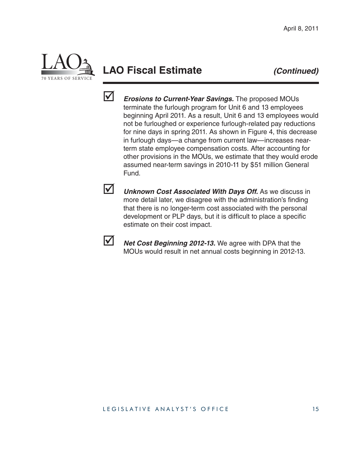

# **LAO Fiscal Estimate** *(Continued)*



 *Erosions to Current-Year Savings.* The proposed MOUs terminate the furlough program for Unit 6 and 13 employees beginning April 2011. As a result, Unit 6 and 13 employees would not be furloughed or experience furlough-related pay reductions for nine days in spring 2011. As shown in Figure 4, this decrease in furlough days—a change from current law—increases nearterm state employee compensation costs. After accounting for other provisions in the MOUs, we estimate that they would erode assumed near-term savings in 2010-11 by \$51 million General Fund.



 *Unknown Cost Associated With Days Off.* As we discuss in more detail later, we disagree with the administration's finding that there is no longer-term cost associated with the personal development or PLP days, but it is difficult to place a specific estimate on their cost impact.



*Net Cost Beginning 2012-13.* We agree with DPA that the MOUs would result in net annual costs beginning in 2012-13.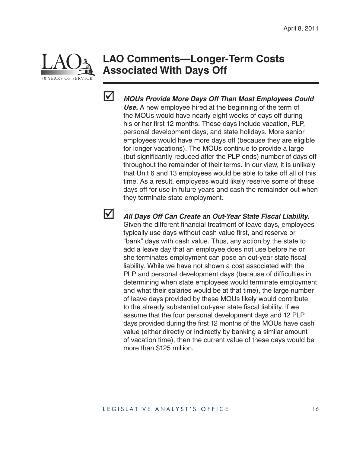

# **LAO Comments—Longer-Term Costs Associated With Days Off**



 *MOUs Provide More Days Off Than Most Employees Could Use.* A new employee hired at the beginning of the term of the MOUs would have nearly eight weeks of days off during his or her first 12 months. These days include vacation, PLP, personal development days, and state holidays. More senior employees would have more days off (because they are eligible for longer vacations). The MOUs continue to provide a large (but significantly reduced after the PLP ends) number of days off throughout the remainder of their terms. In our view, it is unlikely that Unit 6 and 13 employees would be able to take off all of this time. As a result, employees would likely reserve some of these days off for use in future years and cash the remainder out when they terminate state employment.



*All Days Off Can Create an Out-Year State Fiscal Liability.* 

Given the different financial treatment of leave days, employees typically use days without cash value first, and reserve or "bank" days with cash value. Thus, any action by the state to add a leave day that an employee does not use before he or she terminates employment can pose an out-year state fiscal liability. While we have not shown a cost associated with the PLP and personal development days (because of difficulties in determining when state employees would terminate employment and what their salaries would be at that time), the large number of leave days provided by these MOUs likely would contribute to the already substantial out-year state fiscal liability. If we assume that the four personal development days and 12 PLP days provided during the first 12 months of the MOUs have cash value (either directly or indirectly by banking a similar amount of vacation time), then the current value of these days would be more than \$125 million.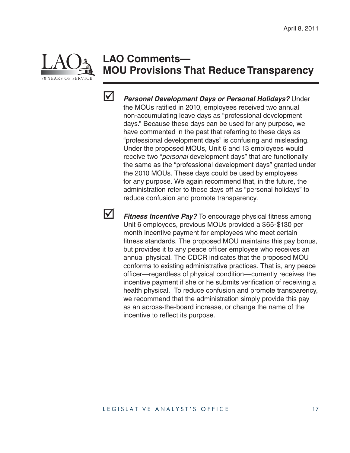

# **LAO Comments— MOU Provisions That Reduce Transparency**



 *Personal Development Days or Personal Holidays?* Under the MOUs ratified in 2010, employees received two annual non-accumulating leave days as "professional development days." Because these days can be used for any purpose, we have commented in the past that referring to these days as "professional development days" is confusing and misleading. Under the proposed MOUs, Unit 6 and 13 employees would receive two "*personal* development days" that are functionally the same as the "professional development days" granted under the 2010 MOUs. These days could be used by employees for any purpose. We again recommend that, in the future, the administration refer to these days off as "personal holidays" to reduce confusion and promote transparency.

**1** Fitness Incentive Pay? To encourage physical fitness among Unit 6 employees, previous MOUs provided a \$65-\$130 per month incentive payment for employees who meet certain fitness standards. The proposed MOU maintains this pay bonus, but provides it to any peace officer employee who receives an annual physical. The CDCR indicates that the proposed MOU conforms to existing administrative practices. That is, any peace officer—regardless of physical condition—currently receives the incentive payment if she or he submits verification of receiving a health physical. To reduce confusion and promote transparency, we recommend that the administration simply provide this pay as an across-the-board increase, or change the name of the incentive to reflect its purpose.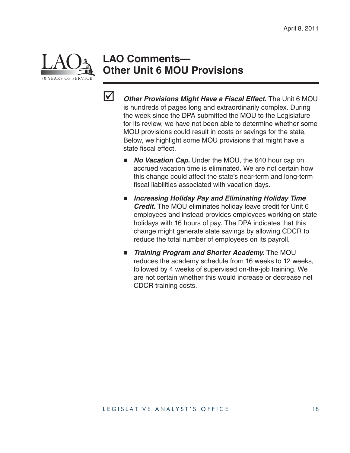

### **LAO Comments— Other Unit 6 MOU Provisions**



- *Other Provisions Might Have a Fiscal Effect.* The Unit 6 MOU is hundreds of pages long and extraordinarily complex. During the week since the DPA submitted the MOU to the Legislature for its review, we have not been able to determine whether some MOU provisions could result in costs or savings for the state. Below, we highlight some MOU provisions that might have a state fiscal effect.
	- **No Vacation Cap.** Under the MOU, the 640 hour cap on accrued vacation time is eliminated. We are not certain how this change could affect the state's near-term and long-term fiscal liabilities associated with vacation days.
	- *Increasing Holiday Pay and Eliminating Holiday Time Credit.* The MOU eliminates holiday leave credit for Unit 6 employees and instead provides employees working on state holidays with 16 hours of pay. The DPA indicates that this change might generate state savings by allowing CDCR to reduce the total number of employees on its payroll.
	- **F** Training Program and Shorter Academy. The MOU reduces the academy schedule from 16 weeks to 12 weeks, followed by 4 weeks of supervised on-the-job training. We are not certain whether this would increase or decrease net CDCR training costs.